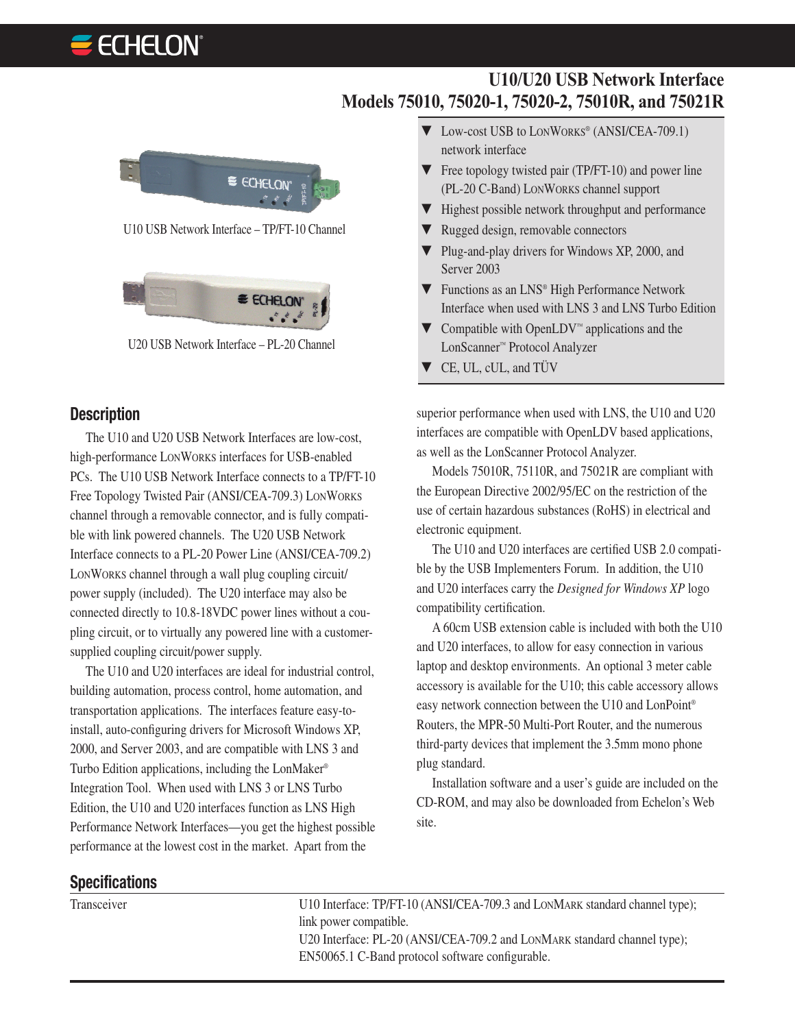# **ECHELON**



U10 USB Network Interface – TP/FT-10 Channel



U20 USB Network Interface – PL-20 Channel

#### **Description**

The U10 and U20 USB Network Interfaces are low-cost, high-performance LONWORKS interfaces for USB-enabled PCs. The U10 USB Network Interface connects to a TP/FT-10 Free Topology Twisted Pair (ANSI/CEA-709.3) LONWORKS channel through a removable connector, and is fully compatible with link powered channels. The U20 USB Network Interface connects to a PL-20 Power Line (ANSI/CEA-709.2) LONWORKS channel through a wall plug coupling circuit/ power supply (included). The U20 interface may also be connected directly to 10.8-18VDC power lines without a coupling circuit, or to virtually any powered line with a customersupplied coupling circuit/power supply.

The U10 and U20 interfaces are ideal for industrial control, building automation, process control, home automation, and transportation applications. The interfaces feature easy-toinstall, auto-configuring drivers for Microsoft Windows XP, 2000, and Server 2003, and are compatible with LNS 3 and Turbo Edition applications, including the LonMaker® Integration Tool. When used with LNS 3 or LNS Turbo Edition, the U10 and U20 interfaces function as LNS High Performance Network Interfaces—you get the highest possible performance at the lowest cost in the market. Apart from the

▼ Low-cost USB to LONWORKS® (ANSI/CEA-709.1) network interface

**U10/U20 USB Network Interface**

- ▼ Free topology twisted pair (TP/FT-10) and power line (PL-20 C-Band) LONWORKS channel support
- ▼ Highest possible network throughput and performance
- ▼ Rugged design, removable connectors

**Models 75010, 75020-1, 75020-2, 75010R, and 75021R**

- ▼ Plug-and-play drivers for Windows XP, 2000, and Server 2003
- ▼ Functions as an LNS® High Performance Network Interface when used with LNS 3 and LNS Turbo Edition
- $\blacktriangledown$  Compatible with OpenLDV™ applications and the LonScanner™ Protocol Analyzer
- ▼ CE, UL, cUL, and TÜV

superior performance when used with LNS, the U10 and U20 interfaces are compatible with OpenLDV based applications, as well as the LonScanner Protocol Analyzer.

Models 75010R, 75110R, and 75021R are compliant with the European Directive 2002/95/EC on the restriction of the use of certain hazardous substances (RoHS) in electrical and electronic equipment.

The U10 and U20 interfaces are certified USB 2.0 compatible by the USB Implementers Forum. In addition, the U10 and U20 interfaces carry the *Designed for Windows XP* logo compatibility certification.

A 60cm USB extension cable is included with both the U10 and U20 interfaces, to allow for easy connection in various laptop and desktop environments. An optional 3 meter cable accessory is available for the U10; this cable accessory allows easy network connection between the U10 and LonPoint® Routers, the MPR-50 Multi-Port Router, and the numerous third-party devices that implement the 3.5mm mono phone plug standard.

Installation software and a user's guide are included on the CD-ROM, and may also be downloaded from Echelon's Web site.

### **Specifications**

Transceiver U10 Interface: TP/FT-10 (ANSI/CEA-709.3 and LONMARK standard channel type); link power compatible. U20 Interface: PL-20 (ANSI/CEA-709.2 and LONMARK standard channel type); EN50065.1 C-Band protocol software configurable.